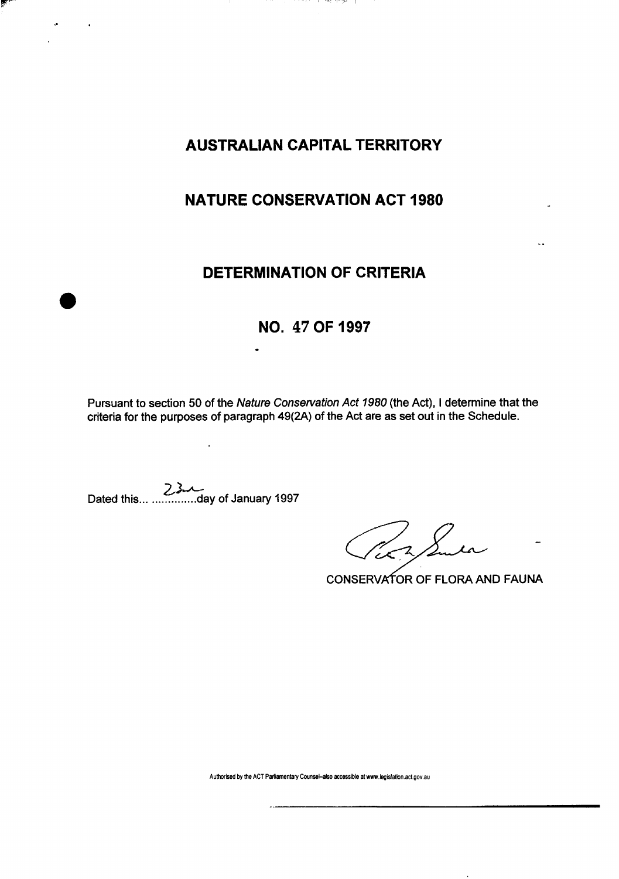# **AUSTRALIAN CAPITAL TERRITORY**

್ಲಿಕೆ ಮಹಾವು ಮಹಾಗಾಗಿದ್ದರು.

## **NATURE CONSERVATION ACT 1980**

### **DETERMINATION OF CRITERIA**

# **NO. 47 OF 1997**

Pursuant to section 50 of the Nature Conservation Act 1980 (the Act), I determine that the criteria for the purposes of paragraph 49(2A) of the Act are as set out in the Schedule.

Dated this day of January 1997

 $\ddot{\phantom{a}}$ 

Per Sura

CONSERVATOR OF FLORA AND FAUNA

**Authorised by the ACT Parliamentary Counsel-also accessible at www.legislation.act.gov.au**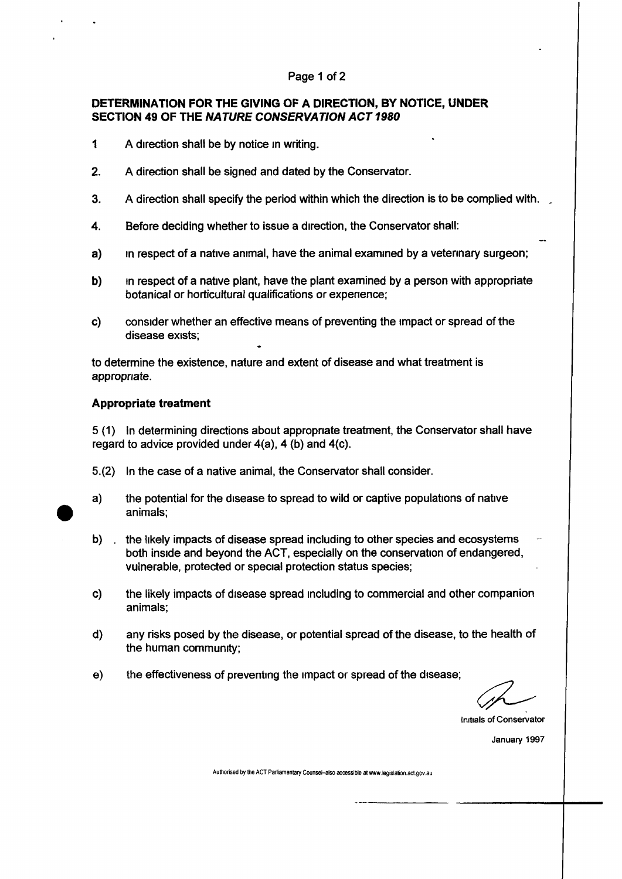#### Page 1 of 2

### **DETERMINATION FOR THE GIVING OF A DIRECTION, BY NOTICE, UNDER SECTION 49 OF THE NATURE CONSERVATION ACT 1980**

- 1 A direction shall be by notice in writing.
- 2. A direction shall be signed and dated by the Conservator.
- 3. A direction shall specify the period within which the direction is to be complied with. .
- 4. Before deciding whether to issue a direction, the Conservator shall:
- a) in respect of a native animal, have the animal examined by a veterinary surgeon;
- b) in respect of a native plant, have the plant examined by a person with appropriate botanical or horticultural qualifications or experience;
- c) consider whether an effective means of preventing the impact or spread of the disease exists;

to determine the existence, nature and extent of disease and what treatment is appropriate.

#### **Appropriate treatment**

5 (1) In determining directions about appropriate treatment, the Conservator shall have regard to advice provided under 4(a), 4 (b) and 4(c).

- 5.(2) In the case of a native animal, the Conservator shall consider.
- a) the potential for the disease to spread to wild or captive populations of native animals;
- b) . the likely impacts of disease spread including to other species and ecosystems both inside and beyond the ACT, especially on the conservation of endangered, vulnerable, protected or special protection status species;
- c) the likely impacts of disease spread including to commercial and other companion animals;
- d) any risks posed by the disease, or potential spread of the disease, to the health of the human community;
- e) the effectiveness of preventing the impact or spread of the disease;

Initials of Conservator

January 1997

**Authorised by the ACT Parliamentary Counsel-also accessible at www.legislation.act.gov.au**